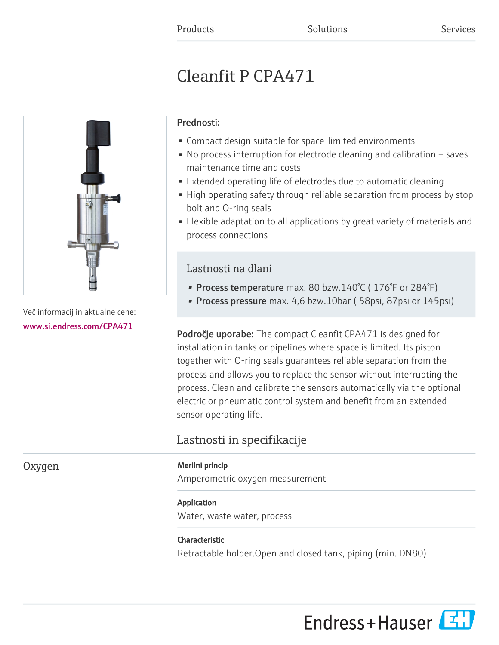# Cleanfit P CPA471



Več informacij in aktualne cene: [www.si.endress.com/CPA471](https://www.si.endress.com/CPA471)

# Prednosti:

- Compact design suitable for space-limited environments
- No process interruption for electrode cleaning and calibration saves maintenance time and costs
- Extended operating life of electrodes due to automatic cleaning
- High operating safety through reliable separation from process by stop bolt and O-ring seals
- Flexible adaptation to all applications by great variety of materials and process connections

# Lastnosti na dlani

- Process temperature max. 80 bzw.140°C (176°F or 284°F)
- Process pressure max. 4,6 bzw.10bar (58psi, 87psi or 145psi)

Področje uporabe: The compact Cleanfit CPA471 is designed for installation in tanks or pipelines where space is limited. Its piston together with O-ring seals guarantees reliable separation from the process and allows you to replace the sensor without interrupting the process. Clean and calibrate the sensors automatically via the optional electric or pneumatic control system and benefit from an extended sensor operating life.

# Lastnosti in specifikacije

### Oxygen Merilni princip

Amperometric oxygen measurement

# Application

Water, waste water, process

# Characteristic

Retractable holder.Open and closed tank, piping (min. DN80)

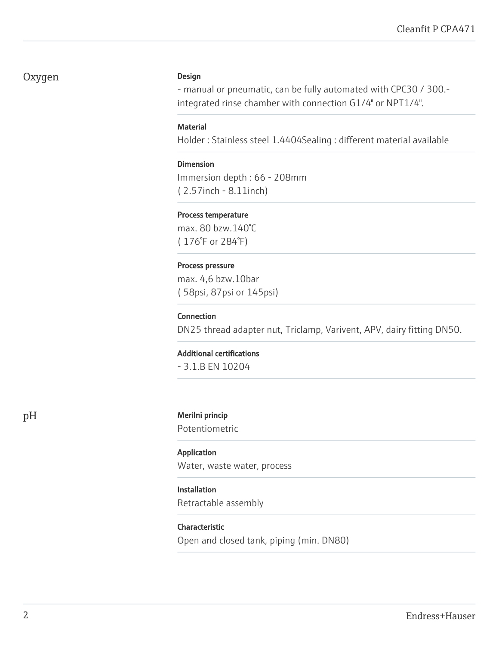# Oxygen Design

- manual or pneumatic, can be fully automated with CPC30 / 300. integrated rinse chamber with connection G1/4" or NPT1/4".

#### **Material**

Holder : Stainless steel 1.4404Sealing : different material available

#### Dimension

Immersion depth : 66 - 208mm ( 2.57inch - 8.11inch)

#### Process temperature

max. 80 bzw.140°C ( 176°F or 284°F)

#### Process pressure

max. 4,6 bzw.10bar ( 58psi, 87psi or 145psi)

#### Connection

DN25 thread adapter nut, Triclamp, Varivent, APV, dairy fitting DN50.

#### Additional certifications

- 3.1.B EN 10204

#### pH Merilni princip

Potentiometric

### Application Water, waste water, process

# Installation

Retractable assembly

#### Characteristic

Open and closed tank, piping (min. DN80)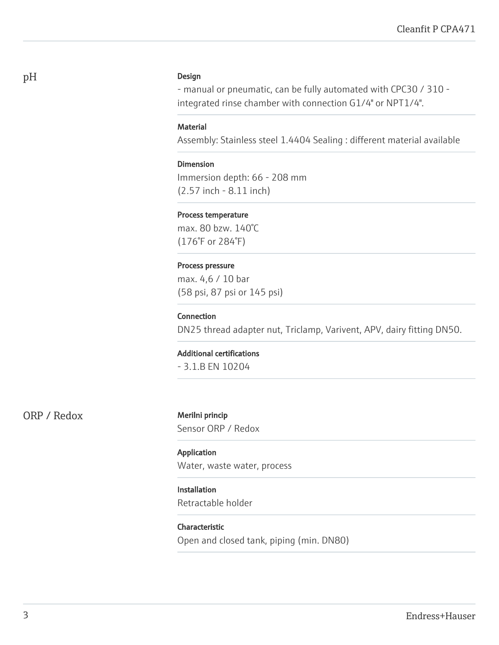#### Design

- manual or pneumatic, can be fully automated with CPC30 / 310 integrated rinse chamber with connection G1/4" or NPT1/4".

#### **Material**

Assembly: Stainless steel 1.4404 Sealing : different material available

Dimension Immersion depth: 66 - 208 mm (2.57 inch - 8.11 inch)

#### Process temperature

max. 80 bzw. 140°C (176°F or 284°F)

#### Process pressure

max. 4,6 / 10 bar (58 psi, 87 psi or 145 psi)

#### Connection

DN25 thread adapter nut, Triclamp, Varivent, APV, dairy fitting DN50.

#### Additional certifications

- 3.1.B EN 10204

ORP / Redox Merilni princip

Sensor ORP / Redox

Application Water, waste water, process

### Installation

Retractable holder

Characteristic Open and closed tank, piping (min. DN80)